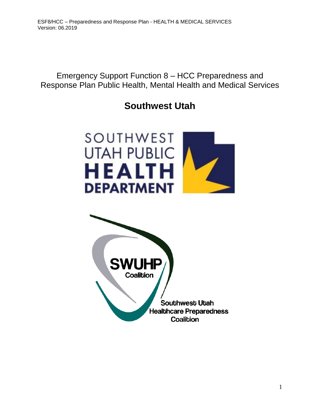Emergency Support Function 8 – HCC Preparedness and Response Plan Public Health, Mental Health and Medical Services

# **Southwest Utah**



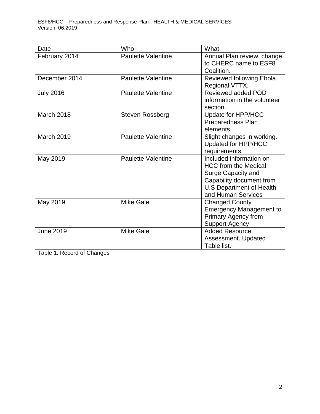| Date              | Who                       | What                                       |
|-------------------|---------------------------|--------------------------------------------|
| February 2014     | <b>Paulette Valentine</b> | Annual Plan review, change                 |
|                   |                           | to CHERC name to ESF8                      |
|                   |                           | Coalition.                                 |
| December 2014     | <b>Paulette Valentine</b> | Reviewed following Ebola<br>Regional VTTX. |
| <b>July 2016</b>  | <b>Paulette Valentine</b> | Reviewed added POD                         |
|                   |                           | information in the volunteer               |
|                   |                           | section.                                   |
| March 2018        | Steven Rossberg           | Update for HPP/HCC                         |
|                   |                           | Preparedness Plan                          |
|                   |                           | elements                                   |
| <b>March 2019</b> | <b>Paulette Valentine</b> | Slight changes in working.                 |
|                   |                           | Updated for HPP/HCC                        |
|                   |                           | requirements.                              |
| May 2019          | <b>Paulette Valentine</b> | Included information on                    |
|                   |                           | <b>HCC from the Medical</b>                |
|                   |                           | Surge Capacity and                         |
|                   |                           | Capability document from                   |
|                   |                           | <b>U.S Department of Health</b>            |
|                   |                           | and Human Services                         |
| May 2019          | <b>Mike Gale</b>          | <b>Changed County</b>                      |
|                   |                           | <b>Emergency Management to</b>             |
|                   |                           | <b>Primary Agency from</b>                 |
|                   |                           | <b>Support Agency</b>                      |
| <b>June 2019</b>  | <b>Mike Gale</b>          | <b>Added Resource</b>                      |
|                   |                           | Assessment. Updated                        |
|                   |                           | Table list.                                |

Table 1: Record of Changes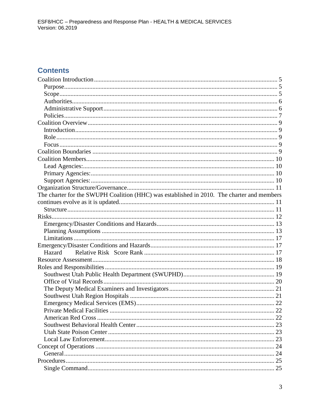## **Contents**

| The charter for the SWUPH Coalition (HHC) was established in 2010. The charter and members |  |
|--------------------------------------------------------------------------------------------|--|
|                                                                                            |  |
|                                                                                            |  |
|                                                                                            |  |
|                                                                                            |  |
|                                                                                            |  |
|                                                                                            |  |
|                                                                                            |  |
| Hazard                                                                                     |  |
|                                                                                            |  |
|                                                                                            |  |
|                                                                                            |  |
|                                                                                            |  |
|                                                                                            |  |
|                                                                                            |  |
|                                                                                            |  |
|                                                                                            |  |
|                                                                                            |  |
|                                                                                            |  |
|                                                                                            |  |
|                                                                                            |  |
|                                                                                            |  |
|                                                                                            |  |
|                                                                                            |  |
|                                                                                            |  |
|                                                                                            |  |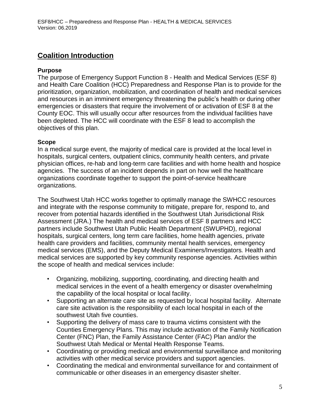## <span id="page-4-0"></span>**Coalition Introduction**

### <span id="page-4-1"></span>**Purpose**

The purpose of Emergency Support Function 8 - Health and Medical Services (ESF 8) and Health Care Coalition (HCC) Preparedness and Response Plan is to provide for the prioritization, organization, mobilization, and coordination of health and medical services and resources in an imminent emergency threatening the public's health or during other emergencies or disasters that require the involvement of or activation of ESF 8 at the County EOC. This will usually occur after resources from the individual facilities have been depleted. The HCC will coordinate with the ESF 8 lead to accomplish the objectives of this plan.

### <span id="page-4-2"></span>**Scope**

In a medical surge event, the majority of medical care is provided at the local level in hospitals, surgical centers, outpatient clinics, community health centers, and private physician offices, re-hab and long-term care facilities and with home health and hospice agencies. The success of an incident depends in part on how well the healthcare organizations coordinate together to support the point-of-service healthcare organizations.

The Southwest Utah HCC works together to optimally manage the SWHCC resources and integrate with the response community to mitigate, prepare for, respond to, and recover from potential hazards identified in the Southwest Utah Jurisdictional Risk Assessment (JRA.) The health and medical services of ESF 8 partners and HCC partners include Southwest Utah Public Health Department (SWUPHD), regional hospitals, surgical centers, long term care facilities, home health agencies, private health care providers and facilities, community mental health services, emergency medical services (EMS), and the Deputy Medical Examiners/Investigators*.* Health and medical services are supported by key community response agencies. Activities within the scope of health and medical services include:

- Organizing, mobilizing, supporting, coordinating, and directing health and medical services in the event of a health emergency or disaster overwhelming the capability of the local hospital or local facility.
- Supporting an alternate care site as requested by local hospital facility. Alternate care site activation is the responsibility of each local hospital in each of the southwest Utah five counties.
- Supporting the delivery of mass care to trauma victims consistent with the Counties Emergency Plans. This may include activation of the Family Notification Center (FNC) Plan, the Family Assistance Center (FAC) Plan and/or the Southwest Utah Medical or Mental Health Response Teams.
- Coordinating or providing medical and environmental surveillance and monitoring activities with other medical service providers and support agencies.
- Coordinating the medical and environmental surveillance for and containment of communicable or other diseases in an emergency disaster shelter.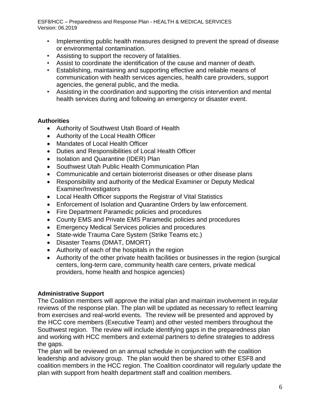- Implementing public health measures designed to prevent the spread of disease or environmental contamination.
- Assisting to support the recovery of fatalities.
- Assist to coordinate the identification of the cause and manner of death*.*
- Establishing, maintaining and supporting effective and reliable means of communication with health services agencies, health care providers, support agencies, the general public, and the media.
- Assisting in the coordination and supporting the crisis intervention and mental health services during and following an emergency or disaster event.

### <span id="page-5-0"></span>**Authorities**

- Authority of Southwest Utah Board of Health
- Authority of the Local Health Officer
- Mandates of Local Health Officer
- Duties and Responsibilities of Local Health Officer
- Isolation and Quarantine (IDER) Plan
- Southwest Utah Public Health Communication Plan
- Communicable and certain bioterrorist diseases or other disease plans
- Responsibility and authority of the Medical Examiner or Deputy Medical Examiner/Investigators
- Local Health Officer supports the Registrar of Vital Statistics
- Enforcement of Isolation and Quarantine Orders by law enforcement.
- Fire Department Paramedic policies and procedures
- County EMS and Private EMS Paramedic policies and procedures
- Emergency Medical Services policies and procedures
- State-wide Trauma Care System (Strike Teams etc.)
- Disaster Teams (DMAT, DMORT)
- Authority of each of the hospitals in the region
- Authority of the other private health facilities or businesses in the region (surgical centers, long-term care, community health care centers, private medical providers, home health and hospice agencies)

### <span id="page-5-1"></span>**Administrative Support**

The Coalition members will approve the initial plan and maintain involvement in regular reviews of the response plan. The plan will be updated as necessary to reflect learning from exercises and real-world events. The review will be presented and approved by the HCC core members (Executive Team) and other vested members throughout the Southwest region. The review will include identifying gaps in the preparedness plan and working with HCC members and external partners to define strategies to address the gaps.

The plan will be reviewed on an annual schedule in conjunction with the coalition leadership and advisory group. The plan would then be shared to other ESF8 and coalition members in the HCC region. The Coalition coordinator will regularly update the plan with support from health department staff and coalition members.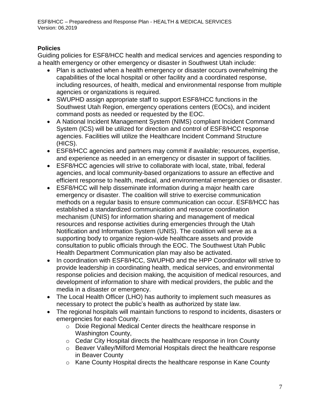### <span id="page-6-0"></span>**Policies**

Guiding policies for ESF8/HCC health and medical services and agencies responding to a health emergency or other emergency or disaster in Southwest Utah include:

- Plan is activated when a health emergency or disaster occurs overwhelming the capabilities of the local hospital or other facility and a coordinated response, including resources, of health, medical and environmental response from multiple agencies or organizations is required.
- SWUPHD assign appropriate staff to support ESF8/HCC functions in the Southwest Utah Region, emergency operations centers (EOCs), and incident command posts as needed or requested by the EOC.
- A National Incident Management System (NIMS) compliant Incident Command System (ICS) will be utilized for direction and control of ESF8/HCC response agencies. Facilities will utilize the Healthcare Incident Command Structure (HICS).
- ESF8/HCC agencies and partners may commit if available; resources, expertise, and experience as needed in an emergency or disaster in support of facilities.
- ESF8/HCC agencies will strive to collaborate with local, state, tribal, federal agencies, and local community-based organizations to assure an effective and efficient response to health, medical, and environmental emergencies or disaster.
- ESF8/HCC will help disseminate information during a major health care emergency or disaster. The coalition will strive to exercise communication methods on a regular basis to ensure communication can occur. ESF8/HCC has established a standardized communication and resource coordination mechanism (UNIS) for information sharing and management of medical resources and response activities during emergencies through the Utah Notification and Information System (UNIS). The coalition will serve as a supporting body to organize region-wide healthcare assets and provide consultation to public officials through the EOC. The Southwest Utah Public Health Department Communication plan may also be activated.
- In coordination with ESF8/HCC, SWUPHD and the HPP Coordinator will strive to provide leadership in coordinating health, medical services, and environmental response policies and decision making, the acquisition of medical resources, and development of information to share with medical providers, the public and the media in a disaster or emergency.
- The Local Health Officer (LHO) has authority to implement such measures as necessary to protect the public's health as authorized by state law.
- The regional hospitals will maintain functions to respond to incidents, disasters or emergencies for each County.
	- o Dixie Regional Medical Center directs the healthcare response in Washington County,
	- o Cedar City Hospital directs the healthcare response in Iron County
	- o Beaver Valley/Milford Memorial Hospitals direct the healthcare response in Beaver County
	- o Kane County Hospital directs the healthcare response in Kane County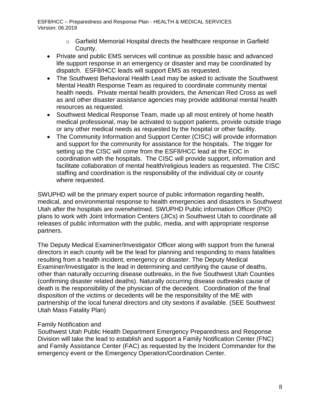- $\circ$  Garfield Memorial Hospital directs the healthcare response in Garfield County.
- Private and public EMS services will continue as possible basic and advanced life support response in an emergency or disaster and may be coordinated by dispatch. ESF8/HCC leads will support EMS as requested.
- The Southwest Behavioral Health Lead may be asked to activate the Southwest Mental Health Response Team as required to coordinate community mental health needs. Private mental health providers, the American Red Cross as well as and other disaster assistance agencies may provide additional mental health resources as requested.
- Southwest Medical Response Team, made up all most entirely of home health medical professional, may be activated to support patients, provide outside triage or any other medical needs as requested by the hospital or other facility.
- The Community Information and Support Center (CISC) will provide information and support for the community for assistance for the hospitals. The trigger for setting up the CISC will come from the ESF8/HCC lead at the EOC in coordination with the hospitals. The CISC will provide support, information and facilitate collaboration of mental health/religious leaders as requested. The CISC staffing and coordination is the responsibility of the individual city or county where requested.

SWUPHD will be the primary expert source of public information regarding health, medical, and environmental response to health emergencies and disasters in Southwest Utah after the hospitals are overwhelmed. SWUPHD Public information Officer (PIO) plans to work with Joint Information Centers (JICs) in Southwest Utah to coordinate all releases of public information with the public, media, and with appropriate response partners.

The Deputy Medical Examiner/Investigator Officer along with support from the funeral directors in each county will be the lead for planning and responding to mass fatalities resulting from a health incident, emergency or disaster. The Deputy Medical Examiner/Investigator is the lead in determining and certifying the cause of deaths, other than naturally occurring disease outbreaks, in the five Southwest Utah Counties (confirming disaster related deaths). Naturally occurring disease outbreaks cause of death is the responsibility of the physician of the decedent. Coordination of the final disposition of the victims or decedents will be the responsibility of the ME with partnership of the local funeral directors and city sextons if available. (SEE Southwest Utah Mass Fatality Plan)

### Family Notification and

Southwest Utah Public Health Department Emergency Preparedness and Response Division will take the lead to establish and support a Family Notification Center (FNC) and Family Assistance Center (FAC) as requested by the Incident Commander for the emergency event or the Emergency Operation/Coordination Center.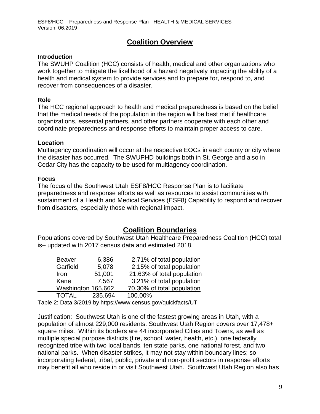## **Coalition Overview**

### <span id="page-8-1"></span><span id="page-8-0"></span>**Introduction**

The SWUHP Coalition (HCC) consists of health, medical and other organizations who work together to mitigate the likelihood of a hazard negatively impacting the ability of a health and medical system to provide services and to prepare for, respond to, and recover from consequences of a disaster.

### <span id="page-8-2"></span>**Role**

The HCC regional approach to health and medical preparedness is based on the belief that the medical needs of the population in the region will be best met if healthcare organizations, essential partners, and other partners cooperate with each other and coordinate preparedness and response efforts to maintain proper access to care.

### **Location**

Multiagency coordination will occur at the respective EOCs in each county or city where the disaster has occurred. The SWUPHD buildings both in St. George and also in Cedar City has the capacity to be used for multiagency coordination.

### <span id="page-8-3"></span>**Focus**

The focus of the Southwest Utah ESF8/HCC Response Plan is to facilitate preparedness and response efforts as well as resources to assist communities with sustainment of a Health and Medical Services (ESF8) Capability to respond and recover from disasters, especially those with regional impact.

### **Coalition Boundaries**

<span id="page-8-4"></span>Populations covered by Southwest Utah Healthcare Preparedness Coalition (HCC) total is– updated with 2017 census data and estimated 2018.

| <b>Beaver</b>      | 6,386   | 2.71% of total population  |
|--------------------|---------|----------------------------|
| Garfield           | 5,078   | 2.15% of total population  |
| Iron               | 51,001  | 21.63% of total population |
| Kane               | 7,567   | 3.21% of total population  |
| Washington 165,662 |         | 70.30% of total population |
| <b>TOTAL</b>       | 235,694 | 100.00%                    |

Table 2: Data 3/2019 by<https://www.census.gov/quickfacts/UT>

Justification: Southwest Utah is one of the fastest growing areas in Utah, with a population of almost 229,000 residents. Southwest Utah Region covers over 17,478+ square miles. Within its borders are 44 incorporated Cities and Towns, as well as multiple special purpose districts (fire, school, water, health, etc.), one federally recognized tribe with two local bands, ten state parks, one national forest, and two national parks. When disaster strikes, it may not stay within boundary lines; so incorporating federal, tribal, public, private and non-profit sectors in response efforts may benefit all who reside in or visit Southwest Utah. Southwest Utah Region also has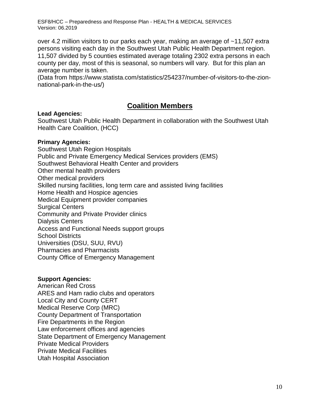over 4.2 million visitors to our parks each year, making an average of ~11,507 extra persons visiting each day in the Southwest Utah Public Health Department region. 11,507 divided by 5 counties estimated average totaling 2302 extra persons in each county per day, most of this is seasonal, so numbers will vary. But for this plan an average number is taken.

(Data from [https://www.statista.com/statistics/254237/number-of-visitors-to-the-zion](https://www.statista.com/statistics/254237/number-of-visitors-to-the-zion-national-park-in-the-us)[national-park-in-the-us/](https://www.statista.com/statistics/254237/number-of-visitors-to-the-zion-national-park-in-the-us))

## **Coalition Members**

### <span id="page-9-1"></span><span id="page-9-0"></span>**Lead Agencies:**

Southwest Utah Public Health Department in collaboration with the Southwest Utah Health Care Coalition, (HCC)

### <span id="page-9-2"></span>**Primary Agencies:**

Southwest Utah Region Hospitals Public and Private Emergency Medical Services providers (EMS) Southwest Behavioral Health Center and providers Other mental health providers Other medical providers Skilled nursing facilities, long term care and assisted living facilities Home Health and Hospice agencies Medical Equipment provider companies Surgical Centers Community and Private Provider clinics Dialysis Centers Access and Functional Needs support groups School Districts Universities (DSU, SUU, RVU) Pharmacies and Pharmacists County Office of Emergency Management

### <span id="page-9-3"></span>**Support Agencies:**

American Red Cross ARES and Ham radio clubs and operators Local City and County CERT Medical Reserve Corp (MRC) County Department of Transportation Fire Departments in the Region Law enforcement offices and agencies State Department of Emergency Management Private Medical Providers Private Medical Facilities Utah Hospital Association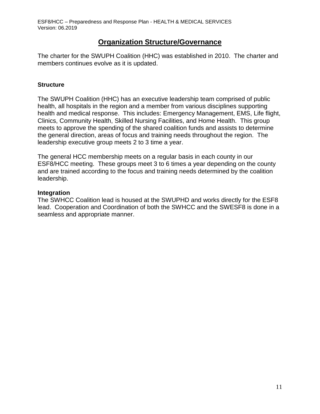### **Organization Structure/Governance**

<span id="page-10-1"></span><span id="page-10-0"></span>The charter for the SWUPH Coalition (HHC) was established in 2010. The charter and members continues evolve as it is updated.

### <span id="page-10-2"></span>**Structure**

The SWUPH Coalition (HHC) has an executive leadership team comprised of public health, all hospitals in the region and a member from various disciplines supporting health and medical response. This includes: Emergency Management, EMS, Life flight, Clinics, Community Health, Skilled Nursing Facilities, and Home Health. This group meets to approve the spending of the shared coalition funds and assists to determine the general direction, areas of focus and training needs throughout the region. The leadership executive group meets 2 to 3 time a year.

The general HCC membership meets on a regular basis in each county in our ESF8/HCC meeting. These groups meet 3 to 6 times a year depending on the county and are trained according to the focus and training needs determined by the coalition leadership.

### **Integration**

The SWHCC Coalition lead is housed at the SWUPHD and works directly for the ESF8 lead. Cooperation and Coordination of both the SWHCC and the SWESF8 is done in a seamless and appropriate manner.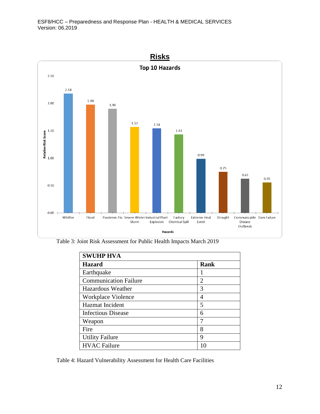<span id="page-11-0"></span>

Table 3: Joint Risk Assessment for Public Health Impacts March 2019

| <b>SWUHP HVA</b>             |             |
|------------------------------|-------------|
| <b>Hazard</b>                | <b>Rank</b> |
| Earthquake                   |             |
| <b>Communication Failure</b> | 2           |
| Hazardous Weather            | 3           |
| Workplace Violence           | 4           |
| <b>Hazmat</b> Incident       | 5           |
| <b>Infectious Disease</b>    | 6           |
| Weapon                       | 7           |
| Fire                         | 8           |
| <b>Utility Failure</b>       | 9           |
| <b>HVAC Failure</b>          |             |

Table 4: Hazard Vulnerability Assessment for Health Care Facilities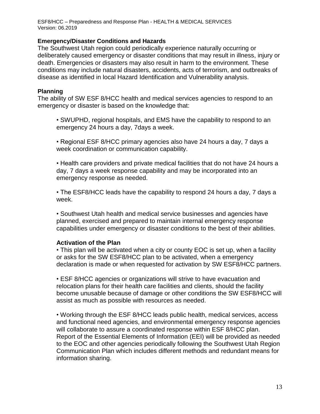#### <span id="page-12-0"></span>**Emergency/Disaster Conditions and Hazards**

The Southwest Utah region could periodically experience naturally occurring or deliberately caused emergency or disaster conditions that may result in illness, injury or death. Emergencies or disasters may also result in harm to the environment. These conditions may include natural disasters, accidents, acts of terrorism, and outbreaks of disease as identified in local Hazard Identification and Vulnerability analysis.

#### <span id="page-12-1"></span>**Planning**

The ability of SW ESF 8/HCC health and medical services agencies to respond to an emergency or disaster is based on the knowledge that:

• SWUPHD, regional hospitals, and EMS have the capability to respond to an emergency 24 hours a day, 7days a week.

• Regional ESF 8/HCC primary agencies also have 24 hours a day, 7 days a week coordination or communication capability.

• Health care providers and private medical facilities that do not have 24 hours a day, 7 days a week response capability and may be incorporated into an emergency response as needed.

• The ESF8/HCC leads have the capability to respond 24 hours a day, 7 days a week.

• Southwest Utah health and medical service businesses and agencies have planned, exercised and prepared to maintain internal emergency response capabilities under emergency or disaster conditions to the best of their abilities.

### **Activation of the Plan**

• This plan will be activated when a city or county EOC is set up, when a facility or asks for the SW ESF8/HCC plan to be activated, when a emergency declaration is made or when requested for activation by SW ESF8/HCC partners.

• ESF 8/HCC agencies or organizations will strive to have evacuation and relocation plans for their health care facilities and clients, should the facility become unusable because of damage or other conditions the SW ESF8/HCC will assist as much as possible with resources as needed.

• Working through the ESF 8/HCC leads public health, medical services, access and functional need agencies, and environmental emergency response agencies will collaborate to assure a coordinated response within ESF 8/HCC plan. Report of the Essential Elements of Information (EEI) will be provided as needed to the EOC and other agencies periodically following the Southwest Utah Region Communication Plan which includes different methods and redundant means for information sharing.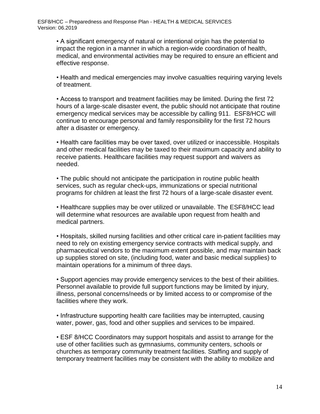• A significant emergency of natural or intentional origin has the potential to impact the region in a manner in which a region-wide coordination of health, medical, and environmental activities may be required to ensure an efficient and effective response.

• Health and medical emergencies may involve casualties requiring varying levels of treatment.

• Access to transport and treatment facilities may be limited. During the first 72 hours of a large-scale disaster event, the public should not anticipate that routine emergency medical services may be accessible by calling 911. ESF8/HCC will continue to encourage personal and family responsibility for the first 72 hours after a disaster or emergency.

• Health care facilities may be over taxed, over utilized or inaccessible. Hospitals and other medical facilities may be taxed to their maximum capacity and ability to receive patients. Healthcare facilities may request support and waivers as needed.

• The public should not anticipate the participation in routine public health services, such as regular check-ups, immunizations or special nutritional programs for children at least the first 72 hours of a large-scale disaster event.

• Healthcare supplies may be over utilized or unavailable. The ESF8/HCC lead will determine what resources are available upon request from health and medical partners.

• Hospitals, skilled nursing facilities and other critical care in-patient facilities may need to rely on existing emergency service contracts with medical supply, and pharmaceutical vendors to the maximum extent possible, and may maintain back up supplies stored on site, (including food, water and basic medical supplies) to maintain operations for a minimum of three days.

• Support agencies may provide emergency services to the best of their abilities. Personnel available to provide full support functions may be limited by injury, illness, personal concerns/needs or by limited access to or compromise of the facilities where they work.

• Infrastructure supporting health care facilities may be interrupted, causing water, power, gas, food and other supplies and services to be impaired.

• ESF 8/HCC Coordinators may support hospitals and assist to arrange for the use of other facilities such as gymnasiums, community centers, schools or churches as temporary community treatment facilities. Staffing and supply of temporary treatment facilities may be consistent with the ability to mobilize and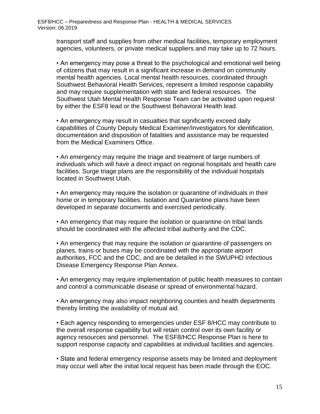transport staff and supplies from other medical facilities, temporary employment agencies, volunteers, or private medical suppliers and may take up to 72 hours.

• An emergency may pose a threat to the psychological and emotional well being of citizens that may result in a significant increase in demand on community mental health agencies. Local mental health resources, coordinated through Southwest Behavioral Health Services, represent a limited response capability and may require supplementation with state and federal resources. The Southwest Utah Mental Health Response Team can be activated upon request by either the ESF8 lead or the Southwest Behavioral Health lead.

• An emergency may result in casualties that significantly exceed daily capabilities of County Deputy Medical Examiner/Investigators for identification, documentation and disposition of fatalities and assistance may be requested from the Medical Examiners Office.

• An emergency may require the triage and treatment of large numbers of individuals which will have a direct impact on regional hospitals and health care facilities. Surge triage plans are the responsibility of the individual hospitals located in Southwest Utah.

• An emergency may require the isolation or quarantine of individuals in their home or in temporary facilities. Isolation and Quarantine plans have been developed in separate documents and exercised periodically.

• An emergency that may require the isolation or quarantine on tribal lands should be coordinated with the affected tribal authority and the CDC.

• An emergency that may require the isolation or quarantine of passengers on planes, trains or buses may be coordinated with the appropriate airport authorities, FCC and the CDC, and are be detailed in the SWUPHD Infectious Disease Emergency Response Plan Annex.

• An emergency may require implementation of public health measures to contain and control a communicable disease or spread of environmental hazard.

• An emergency may also impact neighboring counties and health departments thereby limiting the availability of mutual aid.

• Each agency responding to emergencies under ESF 8/HCC may contribute to the overall response capability but will retain control over its own facility or agency resources and personnel. The ESF8/HCC Response Plan is here to support response capacity and capabilities at individual facilities and agencies.

• State and federal emergency response assets may be limited and deployment may occur well after the initial local request has been made through the EOC.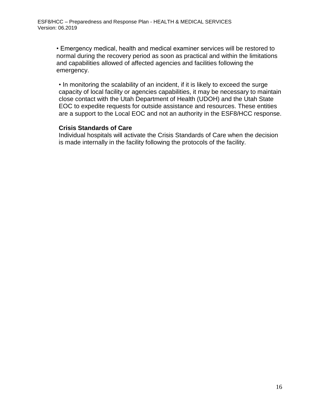• Emergency medical, health and medical examiner services will be restored to normal during the recovery period as soon as practical and within the limitations and capabilities allowed of affected agencies and facilities following the emergency.

• In monitoring the scalability of an incident, if it is likely to exceed the surge capacity of local facility or agencies capabilities, it may be necessary to maintain close contact with the Utah Department of Health (UDOH) and the Utah State EOC to expedite requests for outside assistance and resources. These entities are a support to the Local EOC and not an authority in the ESF8/HCC response.

### **Crisis Standards of Care**

Individual hospitals will activate the Crisis Standards of Care when the decision is made internally in the facility following the protocols of the facility.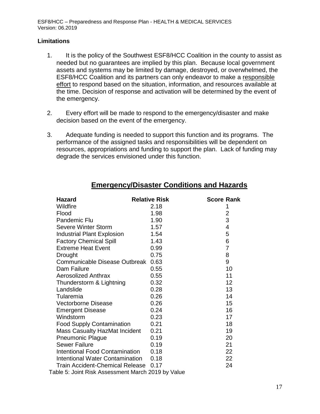#### <span id="page-16-0"></span>**Limitations**

- 1. It is the policy of the Southwest ESF8/HCC Coalition in the county to assist as needed but no guarantees are implied by this plan. Because local government assets and systems may be limited by damage, destroyed, or overwhelmed, the ESF8/HCC Coalition and its partners can only endeavor to make a responsible effort to respond based on the situation, information, and resources available at the time. Decision of response and activation will be determined by the event of the emergency.
- 2. Every effort will be made to respond to the emergency/disaster and make decision based on the event of the emergency.
- 3. Adequate funding is needed to support this function and its programs. The performance of the assigned tasks and responsibilities will be dependent on resources, appropriations and funding to support the plan. Lack of funding may degrade the services envisioned under this function.

<span id="page-16-2"></span><span id="page-16-1"></span>

| <b>Hazard</b>                                      | <b>Relative Risk</b> | <b>Score Rank</b> |
|----------------------------------------------------|----------------------|-------------------|
| Wildfire                                           | 2.18                 |                   |
| Flood                                              | 1.98                 | 2                 |
| Pandemic Flu                                       | 1.90                 | 3                 |
| <b>Severe Winter Storm</b>                         | 1.57                 | 4                 |
| <b>Industrial Plant Explosion</b>                  | 1.54                 | 5                 |
| <b>Factory Chemical Spill</b>                      | 1.43                 | 6                 |
| <b>Extreme Heat Event</b>                          | 0.99                 | $\overline{7}$    |
| Drought                                            | 0.75                 | 8                 |
| Communicable Disease Outbreak                      | 0.63                 | 9                 |
| Dam Failure                                        | 0.55                 | 10                |
| <b>Aerosolized Anthrax</b>                         | 0.55                 | 11                |
| Thunderstorm & Lightning                           | 0.32                 | 12                |
| Landslide                                          | 0.28                 | 13                |
| Tularemia                                          | 0.26                 | 14                |
| <b>Vectorborne Disease</b>                         | 0.26                 | 15                |
| <b>Emergent Disease</b>                            | 0.24                 | 16                |
| Windstorm                                          | 0.23                 | 17                |
| <b>Food Supply Contamination</b>                   | 0.21                 | 18                |
| <b>Mass Casualty HazMat Incident</b>               | 0.21                 | 19                |
| <b>Pneumonic Plague</b>                            | 0.19                 | 20                |
| <b>Sewer Failure</b>                               | 0.19                 | 21                |
| Intentional Food Contamination                     | 0.18                 | 22                |
| Intentional Water Contamination 0.18               |                      | 22                |
| <b>Train Accident-Chemical Release</b>             | 0.17                 | 24                |
| Table 5: Joint Risk Assessment March 2019 by Value |                      |                   |

### **Emergency/Disaster Conditions and Hazards**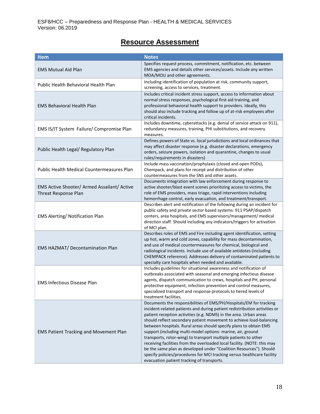## **Resource Assessment**

<span id="page-17-0"></span>

| Item                                                                | <b>Notes</b>                                                                                                                                                                                                                                                                                                                                                                                                                                                                                                                                                                                                                                                                                                                                                                  |
|---------------------------------------------------------------------|-------------------------------------------------------------------------------------------------------------------------------------------------------------------------------------------------------------------------------------------------------------------------------------------------------------------------------------------------------------------------------------------------------------------------------------------------------------------------------------------------------------------------------------------------------------------------------------------------------------------------------------------------------------------------------------------------------------------------------------------------------------------------------|
| <b>EMS Mutual Aid Plan</b>                                          | Specifies request process, commitment, notification, etc. between<br>EMS agencies and details other services/assets. Include any written<br>MOA/MOU and other agreements.                                                                                                                                                                                                                                                                                                                                                                                                                                                                                                                                                                                                     |
| Public Health Behavioral Health Plan                                | Including identification of population at risk, community support,<br>screening, access to services, treatment.                                                                                                                                                                                                                                                                                                                                                                                                                                                                                                                                                                                                                                                               |
| <b>EMS Behavioral Health Plan</b>                                   | Includes critical incident stress support, access to information about<br>normal stress responses, psychological first aid training, and<br>professional behavioral health support to providers. Ideally, this<br>should also include tracking and follow up of at-risk employees after<br>critical incidents.                                                                                                                                                                                                                                                                                                                                                                                                                                                                |
| EMS IS/IT System Failure/ Compromise Plan                           | Includes downtime, cyberattacks (e.g. denial of service attack on 911),<br>redundancy measures, training, PHI substitutions, and recovery<br>measures.                                                                                                                                                                                                                                                                                                                                                                                                                                                                                                                                                                                                                        |
| Public Health Legal/ Regulatory Plan                                | Defines powers of State vs. local jurisdictions and local ordinances that<br>may affect disaster response (e.g. disaster declarations, emergency<br>orders, seizure powers, isolation and quarantine, changes to usual<br>rules/requirements in disasters)                                                                                                                                                                                                                                                                                                                                                                                                                                                                                                                    |
| Public Health Medical Countermeasures Plan                          | Include mass vaccination/prophylaxis (closed and open PODs),<br>Chempack, and plans for receipt and distribution of other<br>countermeasures from the SNS and other assets.                                                                                                                                                                                                                                                                                                                                                                                                                                                                                                                                                                                                   |
| EMS Active Shooter/ Armed Assailant/ Active<br>Threat Response Plan | Documents integration with law enforcement during response to<br>active shooter/blast event scenes prioritizing access to victims, the<br>role of EMS providers, mass triage, rapid interventions including<br>hemorrhage control, early evacuation, and treatment/transport.                                                                                                                                                                                                                                                                                                                                                                                                                                                                                                 |
| EMS Alerting/ Notification Plan                                     | Describes alert and notification of the following during an incident for<br>public safety and private sector based systems: 911 PSAP/dispatch<br>centers, area hospitals, and EMS supervisors/management/ medical<br>direction staff. Should including any indicators/triggers for activation<br>of MCI plan.                                                                                                                                                                                                                                                                                                                                                                                                                                                                 |
| EMS HAZMAT/ Decontamination Plan                                    | Describes roles of EMS and Fire including agent identification, setting<br>up hot, warm and cold zones, capability for mass decontamination,<br>and use of medical countermeasures for chemical, biological and<br>radiological incidents. Include use of available antidotes (including<br>CHEMPACK reference). Addresses delivery of contaminated patients to<br>specialty care hospitals when needed and available.                                                                                                                                                                                                                                                                                                                                                        |
| <b>EMS Infectious Disease Plan</b>                                  | Includes guidelines for situational awareness and notification of<br>outbreaks associated with seasonal and emerging infectious disease<br>agents, dispatch communication to crews, hospitals and PH, personal<br>protective equipment, infection prevention and control measures,<br>specialized transport and response protocols to tiered levels of<br>treatment facilities.                                                                                                                                                                                                                                                                                                                                                                                               |
| <b>EMS Patient Tracking and Movement Plan</b>                       | Documents the responsibilities of EMS/PH/Hospitals/EM for tracking<br>incident-related patients and during patient redistribution activities or<br>patient reception activities (e.g. NDMS) in the area. Urban areas<br>should reflect secondary patient movement to achieve load-balancing<br>between hospitals. Rural areas should specify plans to obtain EMS<br>support (including multi-model options- marine, air, ground<br>transports, rotor-wing) to transport multiple patients to other<br>receiving facilities from the overloaded local facility. (NOTE: this may<br>be the same plan as developed under "Coalition Resources"). Should<br>specify policies/procedures for MCI tracking versus healthcare facility<br>evacuation patient tracking of transports. |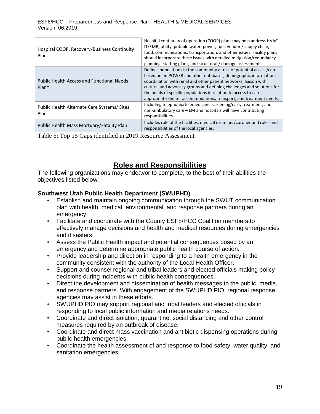| Hospital COOP, Recovery/Business Continuity<br>Plan         | Hospital continuity of operation (COOP) plans may help address HVAC,<br>IT/EMR, utility, potable water, power, fuel, vendor / supply chain,<br>food, communications, transportation, and other issues. Facility plans<br>should incorporate these issues with detailed mitigation/redundancy<br>planning, staffing plans, and structural / damage assessments.                                                                   |
|-------------------------------------------------------------|----------------------------------------------------------------------------------------------------------------------------------------------------------------------------------------------------------------------------------------------------------------------------------------------------------------------------------------------------------------------------------------------------------------------------------|
| <b>Public Health Access and Functional Needs</b><br>$Plan*$ | Defines populations in the community at risk of potential access/care<br>based on emPOWER and other databases, demographic information,<br>coordination with renal and other patient networks, liaison with<br>cultural and advocacy groups and defining challenges and solutions for<br>the needs of specific populations in relation to access to care,<br>appropriate shelter accommodations, transport, and treatment needs. |
| Public Health Alternate Care Systems/Sites<br>Plan          | Including telephonic/telemedicine, screening/early treatment, and<br>non-ambulatory care – EM and hospitals will have contributing<br>responsibilities.                                                                                                                                                                                                                                                                          |
| Public Health Mass Mortuary/Fatality Plan                   | Includes role of the facilities, medical examiner/coroner and roles and<br>responsibilities of the local agencies.                                                                                                                                                                                                                                                                                                               |

Table 5: Top 15 Gaps identified in 2019 Resource Assessment

## **Roles and Responsibilities**

<span id="page-18-0"></span>The following organizations may endeavor to complete, to the best of their abilities the objectives listed below:

### <span id="page-18-1"></span>**Southwest Utah Public Health Department (SWUPHD)**

- Establish and maintain ongoing communication through the SWUT communication plan with health, medical, environmental, and response partners during an emergency.
- Facilitate and coordinate with the County ESF8/HCC Coalition members to effectively manage decisions and health and medical resources during emergencies and disasters.
- Assess the Public Health impact and potential consequences posed by an emergency and determine appropriate public health course of action.
- Provide leadership and direction in responding to a health emergency in the community consistent with the authority of the Local Health Officer.
- Support and counsel regional and tribal leaders and elected officials making policy decisions during incidents with public health consequences.
- Direct the development and dissemination of health messages to the public, media, and response partners. With engagement of the SWUPHD PIO, regional response agencies may assist in these efforts.
- SWUPHD PIO may support regional and tribal leaders and elected officials in responding to local public information and media relations needs.
- Coordinate and direct isolation, quarantine, social distancing and other control measures required by an outbreak of disease.
- Coordinate and direct mass vaccination and antibiotic dispensing operations during public health emergencies.
- Coordinate the health assessment of and response to food safety, water quality, and sanitation emergencies.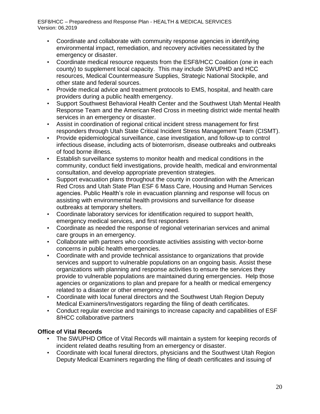- Coordinate and collaborate with community response agencies in identifying environmental impact, remediation, and recovery activities necessitated by the emergency or disaster.
- Coordinate medical resource requests from the ESF8/HCC Coalition (one in each county) to supplement local capacity. This may include SWUPHD and HCC resources, Medical Countermeasure Supplies, Strategic National Stockpile, and other state and federal sources.
- Provide medical advice and treatment protocols to EMS, hospital, and health care providers during a public health emergency.
- Support Southwest Behavioral Health Center and the Southwest Utah Mental Health Response Team and the American Red Cross in meeting district wide mental health services in an emergency or disaster.
- Assist in coordination of regional critical incident stress management for first responders through Utah State Critical Incident Stress Management Team (CISMT).
- Provide epidemiological surveillance, case investigation, and follow-up to control infectious disease, including acts of bioterrorism, disease outbreaks and outbreaks of food borne illness.
- Establish surveillance systems to monitor health and medical conditions in the community, conduct field investigations, provide health, medical and environmental consultation, and develop appropriate prevention strategies.
- Support evacuation plans throughout the county in coordination with the American Red Cross and Utah State Plan ESF 6 Mass Care, Housing and Human Services agencies. Public Health's role in evacuation planning and response will focus on assisting with environmental health provisions and surveillance for disease outbreaks at temporary shelters.
- Coordinate laboratory services for identification required to support health, emergency medical services, and first responders
- Coordinate as needed the response of regional veterinarian services and animal care groups in an emergency.
- Collaborate with partners who coordinate activities assisting with vector-borne concerns in public health emergencies.
- Coordinate with and provide technical assistance to organizations that provide services and support to vulnerable populations on an ongoing basis. Assist these organizations with planning and response activities to ensure the services they provide to vulnerable populations are maintained during emergencies. Help those agencies or organizations to plan and prepare for a health or medical emergency related to a disaster or other emergency need.
- Coordinate with local funeral directors and the Southwest Utah Region Deputy Medical Examiners/Investigators regarding the filing of death certificates.
- Conduct regular exercise and trainings to increase capacity and capabilities of ESF 8/HCC collaborative partners

### <span id="page-19-0"></span>**Office of Vital Records**

- The SWUPHD Office of Vital Records will maintain a system for keeping records of incident related deaths resulting from an emergency or disaster.
- Coordinate with local funeral directors, physicians and the Southwest Utah Region Deputy Medical Examiners regarding the filing of death certificates and issuing of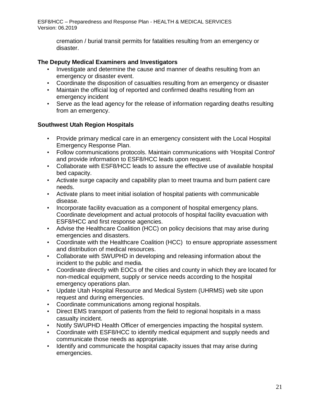cremation / burial transit permits for fatalities resulting from an emergency or disaster.

### <span id="page-20-0"></span>**The Deputy Medical Examiners and Investigators**

- Investigate and determine the cause and manner of deaths resulting from an emergency or disaster event.
- Coordinate the disposition of casualties resulting from an emergency or disaster
- Maintain the official log of reported and confirmed deaths resulting from an emergency incident
- Serve as the lead agency for the release of information regarding deaths resulting from an emergency.

### <span id="page-20-1"></span>**Southwest Utah Region Hospitals**

- Provide primary medical care in an emergency consistent with the Local Hospital Emergency Response Plan.
- Follow communications protocols. Maintain communications with 'Hospital Control' and provide information to ESF8/HCC leads upon request.
- Collaborate with ESF8/HCC leads to assure the effective use of available hospital bed capacity.
- Activate surge capacity and capability plan to meet trauma and burn patient care needs.
- Activate plans to meet initial isolation of hospital patients with communicable disease.
- Incorporate facility evacuation as a component of hospital emergency plans. Coordinate development and actual protocols of hospital facility evacuation with ESF8/HCC and first response agencies.
- Advise the Healthcare Coalition (HCC) on policy decisions that may arise during emergencies and disasters.
- Coordinate with the Healthcare Coalition (HCC) to ensure appropriate assessment and distribution of medical resources.
- Collaborate with SWUPHD in developing and releasing information about the incident to the public and media.
- Coordinate directly with EOCs of the cities and county in which they are located for non-medical equipment, supply or service needs according to the hospital emergency operations plan.
- Update Utah Hospital Resource and Medical System (UHRMS) web site upon request and during emergencies.
- Coordinate communications among regional hospitals.
- Direct EMS transport of patients from the field to regional hospitals in a mass casualty incident.
- Notify SWUPHD Health Officer of emergencies impacting the hospital system.
- Coordinate with ESF8/HCC to identify medical equipment and supply needs and communicate those needs as appropriate.
- Identify and communicate the hospital capacity issues that may arise during emergencies.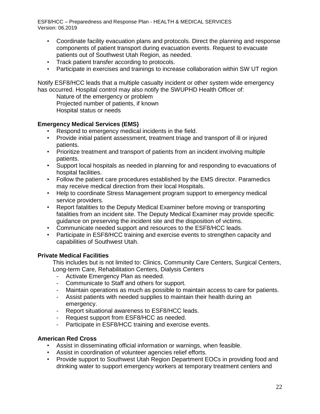- Coordinate facility evacuation plans and protocols. Direct the planning and response components of patient transport during evacuation events. Request to evacuate patients out of Southwest Utah Region, as needed.
- Track patient transfer according to protocols.
- Participate in exercises and trainings to increase collaboration within SW UT region

Notify ESF8/HCC leads that a multiple casualty incident or other system wide emergency has occurred. Hospital control may also notify the SWUPHD Health Officer of:

Nature of the emergency or problem Projected number of patients, if known

Hospital status or needs

### <span id="page-21-0"></span>**Emergency Medical Services (EMS)**

- Respond to emergency medical incidents in the field.
- Provide initial patient assessment, treatment triage and transport of ill or injured patients.
- Prioritize treatment and transport of patients from an incident involving multiple patients.
- Support local hospitals as needed in planning for and responding to evacuations of hospital facilities.
- Follow the patient care procedures established by the EMS director. Paramedics may receive medical direction from their local Hospitals.
- Help to coordinate Stress Management program support to emergency medical service providers.
- Report fatalities to the Deputy Medical Examiner before moving or transporting fatalities from an incident site. The Deputy Medical Examiner may provide specific guidance on preserving the incident site and the disposition of victims.
- Communicate needed support and resources to the ESF8/HCC leads.
- Participate in ESF8/HCC training and exercise events to strengthen capacity and capabilities of Southwest Utah.

### <span id="page-21-1"></span>**Private Medical Facilities**

This includes but is not limited to: Clinics, Community Care Centers, Surgical Centers, Long-term Care, Rehabilitation Centers, Dialysis Centers

- Activate Emergency Plan as needed.
- Communicate to Staff and others for support.
- Maintain operations as much as possible to maintain access to care for patients.
- Assist patients with needed supplies to maintain their health during an emergency.
- Report situational awareness to ESF8/HCC leads.
- Request support from ESF8/HCC as needed.
- Participate in ESF8/HCC training and exercise events.

### <span id="page-21-2"></span>**American Red Cross**

- Assist in disseminating official information or warnings, when feasible.
- Assist in coordination of volunteer agencies relief efforts.
- Provide support to Southwest Utah Region Department EOCs in providing food and drinking water to support emergency workers at temporary treatment centers and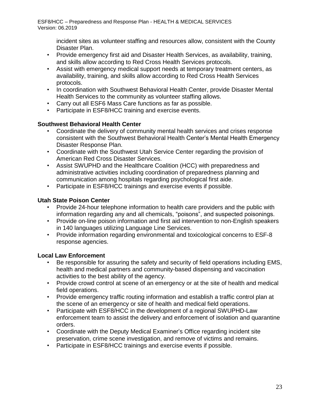incident sites as volunteer staffing and resources allow, consistent with the County Disaster Plan.

- Provide emergency first aid and Disaster Health Services, as availability, training, and skills allow according to Red Cross Health Services protocols.
- Assist with emergency medical support needs at temporary treatment centers, as availability, training, and skills allow according to Red Cross Health Services protocols.
- In coordination with Southwest Behavioral Health Center, provide Disaster Mental Health Services to the community as volunteer staffing allows.
- Carry out all ESF6 Mass Care functions as far as possible.
- Participate in ESF8/HCC training and exercise events.

### <span id="page-22-0"></span>**Southwest Behavioral Health Center**

- Coordinate the delivery of community mental health services and crises response consistent with the Southwest Behavioral Health Center's Mental Health Emergency Disaster Response Plan.
- Coordinate with the Southwest Utah Service Center regarding the provision of American Red Cross Disaster Services.
- Assist SWUPHD and the Healthcare Coalition (HCC) with preparedness and administrative activities including coordination of preparedness planning and communication among hospitals regarding psychological first aide.
- Participate in ESF8/HCC trainings and exercise events if possible.

### <span id="page-22-1"></span>**Utah State Poison Center**

- Provide 24-hour telephone information to health care providers and the public with information regarding any and all chemicals, "poisons", and suspected poisonings.
- Provide on-line poison information and first aid intervention to non-English speakers in 140 languages utilizing Language Line Services.
- Provide information regarding environmental and toxicological concerns to ESF-8 response agencies.

### <span id="page-22-2"></span>**Local Law Enforcement**

- Be responsible for assuring the safety and security of field operations including EMS, health and medical partners and community-based dispensing and vaccination activities to the best ability of the agency.
- Provide crowd control at scene of an emergency or at the site of health and medical field operations.
- Provide emergency traffic routing information and establish a traffic control plan at the scene of an emergency or site of health and medical field operations.
- Participate with ESF8/HCC in the development of a regional SWUPHD-Law enforcement team to assist the delivery and enforcement of isolation and quarantine orders.
- Coordinate with the Deputy Medical Examiner's Office regarding incident site preservation, crime scene investigation, and remove of victims and remains.
- Participate in ESF8/HCC trainings and exercise events if possible.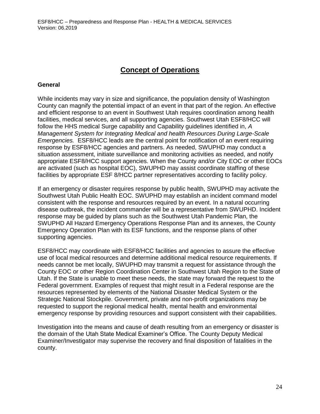## **Concept of Operations**

#### <span id="page-23-1"></span><span id="page-23-0"></span>**General**

While incidents may vary in size and significance, the population density of Washington County can magnify the potential impact of an event in that part of the region. An effective and efficient response to an event in Southwest Utah requires coordination among health facilities, medical services, and all supporting agencies. Southwest Utah ESF8/HCC will follow the HHS medical Surge capability and Capability guidelines identified in, *A Management System for Integrating Medical and health Resources During Large-Scale Emergencies.* ESF8/HCC leads are the central point for notification of an event requiring response by ESF8/HCC agencies and partners. As needed, SWUPHD may conduct a situation assessment, initiate surveillance and monitoring activities as needed, and notify appropriate ESF8/HCC support agencies. When the County and/or City EOC or other EOCs are activated (such as hospital EOC), SWUPHD may assist coordinate staffing of these facilities by appropriate ESF 8/HCC partner representatives according to facility policy.

If an emergency or disaster requires response by public health, SWUPHD may activate the Southwest Utah Public Health EOC. SWUPHD may establish an incident command model consistent with the response and resources required by an event. In a natural occurring disease outbreak, the incident commander will be a representative from SWUPHD. Incident response may be guided by plans such as the Southwest Utah Pandemic Plan, the SWUPHD All Hazard Emergency Operations Response Plan and its annexes, the County Emergency Operation Plan with its ESF functions, and the response plans of other supporting agencies.

ESF8/HCC may coordinate with ESF8/HCC facilities and agencies to assure the effective use of local medical resources and determine additional medical resource requirements. If needs cannot be met locally, SWUPHD may transmit a request for assistance through the County EOC or other Region Coordination Center in Southwest Utah Region to the State of Utah. If the State is unable to meet these needs, the state may forward the request to the Federal government. Examples of request that might result in a Federal response are the resources represented by elements of the National Disaster Medical System or the Strategic National Stockpile. Government, private and non-profit organizations may be requested to support the regional medical health, mental health and environmental emergency response by providing resources and support consistent with their capabilities.

Investigation into the means and cause of death resulting from an emergency or disaster is the domain of the Utah State Medical Examiner's Office. The County Deputy Medical Examiner/Investigator may supervise the recovery and final disposition of fatalities in the county.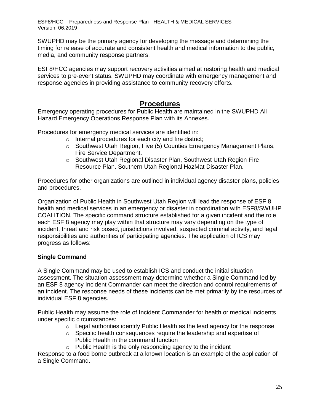SWUPHD may be the primary agency for developing the message and determining the timing for release of accurate and consistent health and medical information to the public, media, and community response partners.

ESF8/HCC agencies may support recovery activities aimed at restoring health and medical services to pre-event status. SWUPHD may coordinate with emergency management and response agencies in providing assistance to community recovery efforts.

### **Procedures**

<span id="page-24-0"></span>Emergency operating procedures for Public Health are maintained in the SWUPHD All Hazard Emergency Operations Response Plan with its Annexes.

Procedures for emergency medical services are identified in:

- o Internal procedures for each city and fire district;
- $\circ$  Southwest Utah Region, Five (5) Counties Emergency Management Plans, Fire Service Department.
- o Southwest Utah Regional Disaster Plan, Southwest Utah Region Fire Resource Plan. Southern Utah Regional HazMat Disaster Plan.

Procedures for other organizations are outlined in individual agency disaster plans, policies and procedures.

Organization of Public Health in Southwest Utah Region will lead the response of ESF 8 health and medical services in an emergency or disaster in coordination with ESF8/SWUHP COALITION. The specific command structure established for a given incident and the role each ESF 8 agency may play within that structure may vary depending on the type of incident, threat and risk posed, jurisdictions involved, suspected criminal activity, and legal responsibilities and authorities of participating agencies. The application of ICS may progress as follows:

### <span id="page-24-1"></span>**Single Command**

A Single Command may be used to establish ICS and conduct the initial situation assessment. The situation assessment may determine whether a Single Command led by an ESF 8 agency Incident Commander can meet the direction and control requirements of an incident. The response needs of these incidents can be met primarily by the resources of individual ESF 8 agencies.

Public Health may assume the role of Incident Commander for health or medical incidents under specific circumstances:

- $\circ$  Legal authorities identify Public Health as the lead agency for the response
- o Specific health consequences require the leadership and expertise of Public Health in the command function
- $\circ$  Public Health is the only responding agency to the incident

Response to a food borne outbreak at a known location is an example of the application of a Single Command.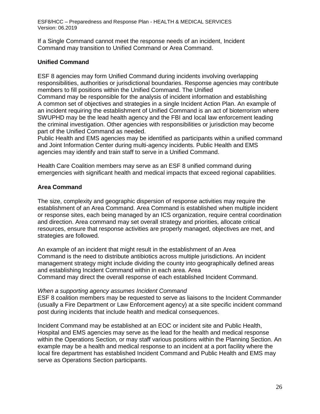If a Single Command cannot meet the response needs of an incident, Incident Command may transition to Unified Command or Area Command.

### <span id="page-25-0"></span>**Unified Command**

ESF 8 agencies may form Unified Command during incidents involving overlapping responsibilities, authorities or jurisdictional boundaries. Response agencies may contribute members to fill positions within the Unified Command. The Unified

Command may be responsible for the analysis of incident information and establishing A common set of objectives and strategies in a single Incident Action Plan. An example of an incident requiring the establishment of Unified Command is an act of bioterrorism where SWUPHD may be the lead health agency and the FBI and local law enforcement leading the criminal investigation. Other agencies with responsibilities or jurisdiction may become part of the Unified Command as needed.

Public Health and EMS agencies may be identified as participants within a unified command and Joint Information Center during multi-agency incidents. Public Health and EMS agencies may identify and train staff to serve in a Unified Command.

Health Care Coalition members may serve as an ESF 8 unified command during emergencies with significant health and medical impacts that exceed regional capabilities.

### <span id="page-25-1"></span>**Area Command**

The size, complexity and geographic dispersion of response activities may require the establishment of an Area Command. Area Command is established when multiple incident or response sites, each being managed by an ICS organization, require central coordination and direction. Area command may set overall strategy and priorities, allocate critical resources, ensure that response activities are properly managed, objectives are met, and strategies are followed.

An example of an incident that might result in the establishment of an Area Command is the need to distribute antibiotics across multiple jurisdictions. An incident management strategy might include dividing the county into geographically defined areas and establishing Incident Command within in each area. Area Command may direct the overall response of each established Incident Command.

### *When a supporting agency assumes Incident Command*

ESF 8 coalition members may be requested to serve as liaisons to the Incident Commander (usually a Fire Department or Law Enforcement agency) at a site specific incident command post during incidents that include health and medical consequences.

Incident Command may be established at an EOC or incident site and Public Health, Hospital and EMS agencies may serve as the lead for the health and medical response within the Operations Section, or may staff various positions within the Planning Section. An example may be a health and medical response to an incident at a port facility where the local fire department has established Incident Command and Public Health and EMS may serve as Operations Section participants.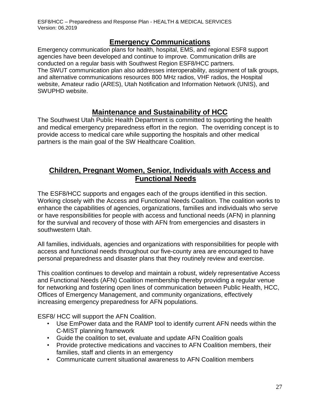## **Emergency Communications**

<span id="page-26-0"></span>Emergency communication plans for health, hospital, EMS, and regional ESF8 support agencies have been developed and continue to improve. Communication drills are conducted on a regular basis with Southwest Region ESF8/HCC partners. The SWUT communication plan also addresses interoperability, assignment of talk groups, and alternative communications resources 800 MHz radios, VHF radios, the Hospital website, Amateur radio (ARES), Utah Notification and Information Network (UNIS), and SWUPHD website.

### **Maintenance and Sustainability of HCC**

<span id="page-26-1"></span>The Southwest Utah Public Health Department is committed to supporting the health and medical emergency preparedness effort in the region. The overriding concept is to provide access to medical care while supporting the hospitals and other medical partners is the main goal of the SW Healthcare Coalition.

## <span id="page-26-2"></span>**Children, Pregnant Women, Senior, Individuals with Access and Functional Needs**

The ESF8/HCC supports and engages each of the groups identified in this section. Working closely with the Access and Functional Needs Coalition. The coalition works to enhance the capabilities of agencies, organizations, families and individuals who serve or have responsibilities for people with access and functional needs (AFN) in planning for the survival and recovery of those with AFN from emergencies and disasters in southwestern Utah.

All families, individuals, agencies and organizations with responsibilities for people with access and functional needs throughout our five-county area are encouraged to have personal preparedness and disaster plans that they routinely review and exercise.

This coalition continues to develop and maintain a robust, widely representative Access and Functional Needs (AFN) Coalition membership thereby providing a regular venue for networking and fostering open lines of communication between Public Health, HCC, Offices of Emergency Management, and community organizations, effectively increasing emergency preparedness for AFN populations.

ESF8/ HCC will support the AFN Coalition.

- Use EmPower data and the RAMP tool to identify current AFN needs within the C-MIST planning framework
- Guide the coalition to set, evaluate and update AFN Coalition goals
- Provide protective medications and vaccines to AFN Coalition members, their families, staff and clients in an emergency
- Communicate current situational awareness to AFN Coalition members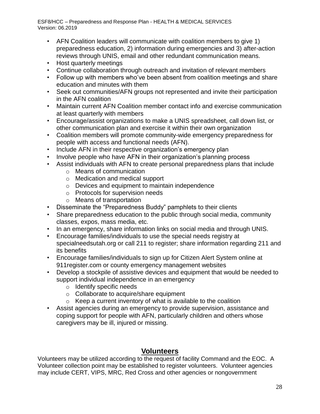- AFN Coalition leaders will communicate with coalition members to give 1) preparedness education, 2) information during emergencies and 3) after-action reviews through UNIS, email and other redundant communication means.
- Host quarterly meetings
- Continue collaboration through outreach and invitation of relevant members
- Follow up with members who've been absent from coalition meetings and share education and minutes with them
- Seek out communities/AFN groups not represented and invite their participation in the AFN coalition
- Maintain current AFN Coalition member contact info and exercise communication at least quarterly with members
- Encourage/assist organizations to make a UNIS spreadsheet, call down list, or other communication plan and exercise it within their own organization
- Coalition members will promote community-wide emergency preparedness for people with access and functional needs (AFN).
- Include AFN in their respective organization's emergency plan
- Involve people who have AFN in their organization's planning process
- Assist individuals with AFN to create personal preparedness plans that include
	- o Means of communication
	- o Medication and medical support
	- o Devices and equipment to maintain independence
	- o Protocols for supervision needs
	- o Means of transportation
- Disseminate the "Preparedness Buddy" pamphlets to their clients
- Share preparedness education to the public through social media, community classes, expos, mass media, etc.
- In an emergency, share information links on social media and through UNIS.
- Encourage families/individuals to use the special needs registry at specialneedsutah.org or call 211 to register; share information regarding 211 and its benefits
- Encourage families/individuals to sign up for Citizen Alert System online at 911register.com or county emergency management websites
- Develop a stockpile of assistive devices and equipment that would be needed to support individual independence in an emergency
	- o Identify specific needs
	- o Collaborate to acquire/share equipment
	- $\circ$  Keep a current inventory of what is available to the coalition
- Assist agencies during an emergency to provide supervision, assistance and coping support for people with AFN, particularly children and others whose caregivers may be ill, injured or missing.

## **Volunteers**

<span id="page-27-0"></span>Volunteers may be utilized according to the request of facility Command and the EOC. A Volunteer collection point may be established to register volunteers. Volunteer agencies may include CERT, VIPS, MRC, Red Cross and other agencies or nongovernment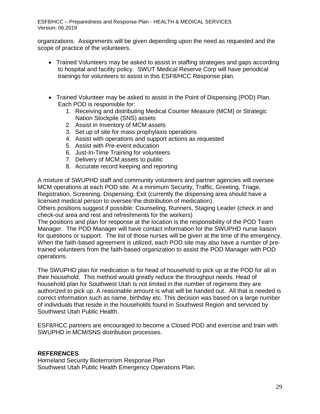organizations. Assignments will be given depending upon the need as requested and the scope of practice of the volunteers.

- Trained Volunteers may be asked to assist in staffing strategies and gaps according to hospital and facility policy. SWUT Medical Reserve Corp will have periodical trainings for volunteers to assist in this ESF8/HCC Response plan.
- Trained Volunteer may be asked to assist in the Point of Dispensing (POD) Plan. Each POD is responsible for:
	- 1. Receiving and distributing Medical Counter Measure (MCM) or Strategic Nation Stockpile (SNS) assets
	- 2. Assist in Inventory of MCM assets
	- 3. Set up of site for mass prophylaxis operations
	- 4. Assist with operations and support actions as requested
	- 5. Assist with Pre-event education
	- 6. Just-In-Time Training for volunteers
	- 7. Delivery of MCM assets to public
	- 8. Accurate record keeping and reporting

A mixture of SWUPHD staff and community volunteers and partner agencies will oversee MCM operations at each POD site. At a minimum Security, Traffic, Greeting, Triage, Registration, Screening, Dispensing, Exit (currently the dispensing area should have a licensed medical person to oversee the distribution of medication).

Others positions suggest if possible: Counseling, Runners, Staging Leader (check in and check-out area and rest and refreshments for the workers)

The positions and plan for response at the location is the responsibility of the POD Team Manager. The POD Manager will have contact information for the SWUPHD nurse liaison for questions or support. The list of those nurses will be given at the time of the emergency. When the faith-based agreement is utilized, each POD site may also have a number of pretrained volunteers from the faith-based organization to assist the POD Manager with POD operations.

The SWUPHD plan for medication is for head of household to pick up at the POD for all in their household. This method would greatly reduce the throughput needs. Head of household plan for Southwest Utah is not limited in the number of regimens they are authorized to pick up. A reasonable amount is what will be handed out. All that is needed is correct information such as name, birthday etc. This decision was based on a large number of individuals that reside in the households found in Southwest Region and serviced by Southwest Utah Public Health.

ESF8/HCC partners are encouraged to become a Closed POD and exercise and train with SWUPHD in MCM/SNS distribution processes.

### <span id="page-28-0"></span>**REFERENCES**

Homeland Security Bioterrorism Response Plan Southwest Utah Public Health Emergency Operations Plan.